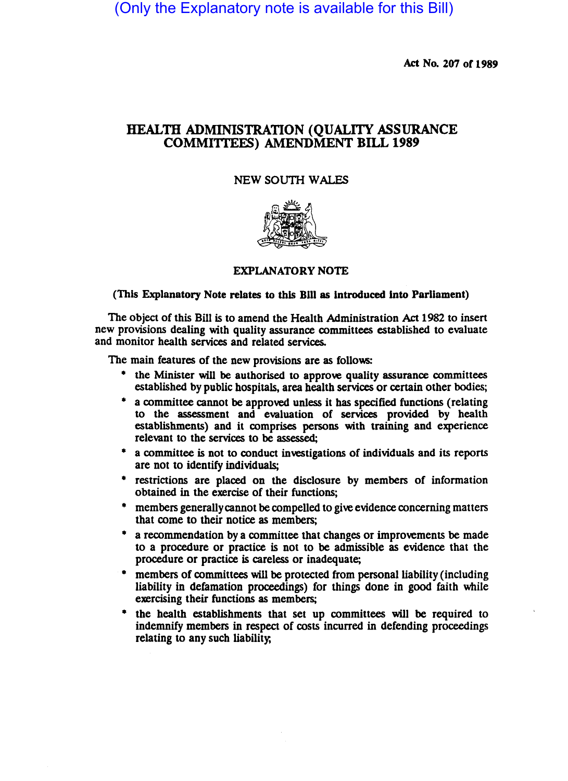(Only the Explanatory note is available for this Bill)

Act No. 207 of 1989

## HEALTH ADMINISTRATION (QUALITY ASSURANCE COMMITIEES) AMENDMENT BILL 1989

## NEW SOUTH WALES



## (This Explanatory Note relates to this Bill as Introduced Into Parliament)

The object of this Bill is to amend the Health Administration Act 1982 to insert new provisions dealing with quality assurance committees established to evaluate and monitor health services and related services.

The main features of the new provisions are as follows:

- the Minister will be authorised to approve quality assurance committees established by public hospitals, area health services or certain other bodies;
- a committee cannot be approved unless it has specified functions (relating to the assessment and evaluation of services provided by health establishments) and it comprises persons with training and experience relevant to the services to be assessed;
- a committee is not to conduct investigations of individuals and its reports are not to identify individuals;
- restrictions are placed on the disclosure by members of information obtained in the exercise of their functions;
- members generally cannot be compelled to give evidence concerning matters that come to their notice as members;
- a recommendation by a committee that changes or improvements be made to a procedure or practice is not to be admissible as evidence that the procedure or practice is careless or inadequate;
- members of committees will be protected from personal liability (including liability in defamation proceedings) for things done in good faith while exercising their functions as members;
- the health establishments that set up committees will be required to indemnify members in respect of costs incurred in defending proceedings relating to any such liability;